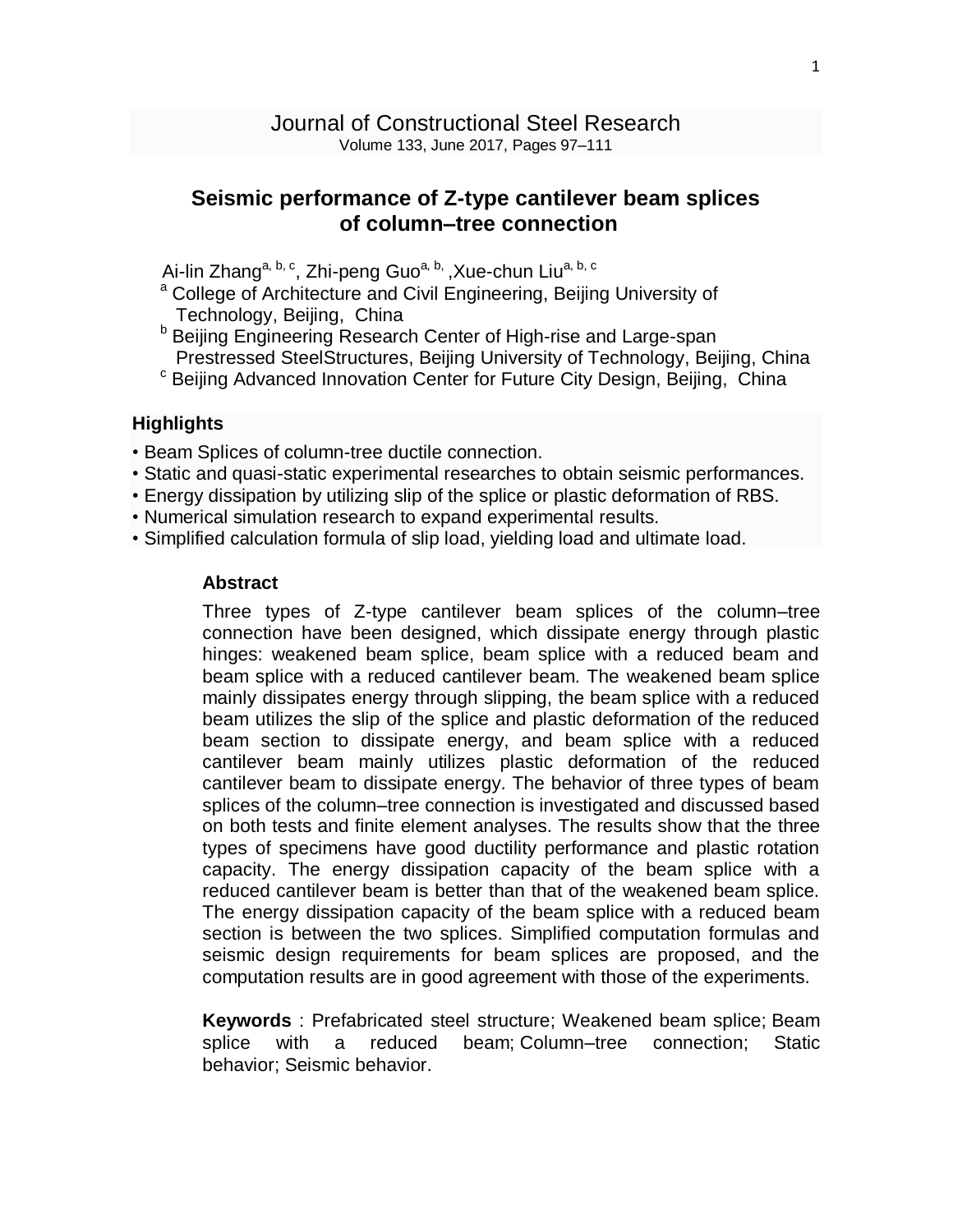## **Seismic performance of Z-type cantilever beam splices of column–tree connection**

Ai-lin [Zhang](http://www.sciencedirect.com/science/article/pii/S0143974X17301633?dgcid=raven_sd_via_email)<sup>[a,](http://www.sciencedirect.com/science/article/pii/S0143974X17301633?dgcid=raven_sd_via_email) [b,](http://www.sciencedirect.com/science/article/pii/S0143974X17301633?dgcid=raven_sd_via_email#af0010) [c](http://www.sciencedirect.com/science/article/pii/S0143974X17301633?dgcid=raven_sd_via_email#af0015)</sup>, [Zhi-peng](http://www.sciencedirect.com/science/article/pii/S0143974X17301633?dgcid=raven_sd_via_email) Guo<sup>a, b,</sup> [,Xue-chun](http://www.sciencedirect.com/science/article/pii/S0143974X17301633?dgcid=raven_sd_via_email) Liu<sup>a, b, c</sup>

- <sup>a</sup> College of Architecture and Civil Engineering, Beijing University of Technology, Beijing, China
- **b Beijing Engineering Research Center of High-rise and Large-span** Prestressed SteelStructures, Beijing University of Technology, Beijing, China
- <sup>c</sup> Beijing Advanced Innovation Center for Future City Design, Beijing, China

## **Highlights**

- Beam Splices of column-tree ductile connection.
- Static and quasi-static experimental researches to obtain seismic performances.
- Energy dissipation by utilizing slip of the splice or plastic deformation of RBS.
- Numerical simulation research to expand experimental results.
- Simplified calculation formula of slip load, yielding load and ultimate load.

## **Abstract**

Three types of Z-type cantilever beam splices of the column–tree connection have been designed, which dissipate energy through plastic hinges: weakened beam splice, beam splice with a reduced beam and beam splice with a reduced cantilever beam. The weakened beam splice mainly dissipates energy through slipping, the beam splice with a reduced beam utilizes the slip of the splice and plastic deformation of the reduced beam section to dissipate energy, and beam splice with a reduced cantilever beam mainly utilizes plastic deformation of the reduced cantilever beam to dissipate energy. The behavior of three types of beam splices of the column–tree connection is investigated and discussed based on both tests and finite element analyses. The results show that the three types of specimens have good ductility performance and plastic rotation capacity. The energy dissipation capacity of the beam splice with a reduced cantilever beam is better than that of the weakened beam splice. The energy dissipation capacity of the beam splice with a reduced beam section is between the two splices. Simplified computation formulas and seismic design requirements for beam splices are proposed, and the computation results are in good agreement with those of the experiments.

**Keywords** : Prefabricated steel structure; Weakened beam splice; Beam splice with a reduced beam; Column–tree connection; Static behavior; Seismic behavior.